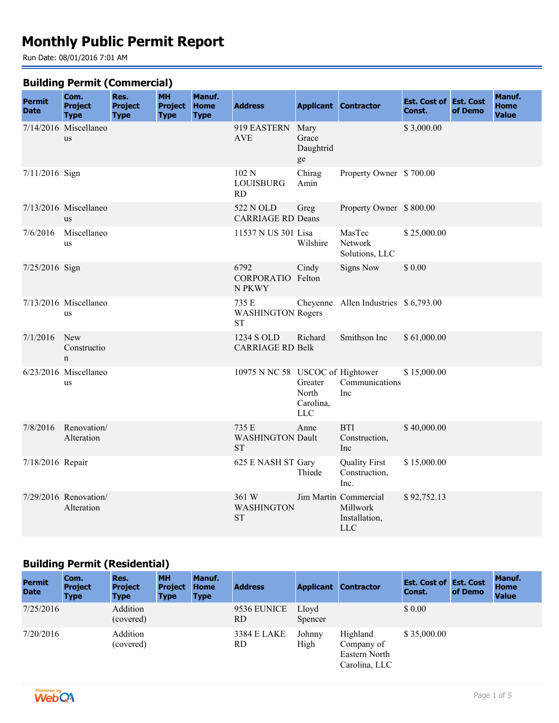# **Monthly Public Permit Report**

Run Date: 08/01/2016 7:01 AM

#### **Building Permit (Commercial)**

| <b>Permit</b><br><b>Date</b> | .<br>Com.<br><b>Project</b><br><b>Type</b> | Res.<br><b>Project</b><br><b>Type</b> | -- ,<br><b>MH</b><br><b>Project</b><br><b>Type</b> | Manuf.<br><b>Home</b><br><b>Type</b> | <b>Address</b>                                 |                                        | <b>Applicant Contractor</b>                                      | <b>Est. Cost of Est. Cost</b><br>Const. | of Demo | Manuf.<br><b>Home</b><br><b>Value</b> |
|------------------------------|--------------------------------------------|---------------------------------------|----------------------------------------------------|--------------------------------------|------------------------------------------------|----------------------------------------|------------------------------------------------------------------|-----------------------------------------|---------|---------------------------------------|
|                              | 7/14/2016 Miscellaneo<br><b>us</b>         |                                       |                                                    |                                      | 919 EASTERN<br><b>AVE</b>                      | Mary<br>Grace<br>Daughtrid<br>ge       |                                                                  | \$3,000.00                              |         |                                       |
| 7/11/2016 Sign               |                                            |                                       |                                                    |                                      | 102 N<br><b>LOUISBURG</b><br>RD                | Chirag<br>Amin                         | Property Owner \$700.00                                          |                                         |         |                                       |
|                              | $7/13/2016$ Miscellaneo<br><b>us</b>       |                                       |                                                    |                                      | 522 N OLD<br><b>CARRIAGE RD Deans</b>          | Greg                                   | Property Owner \$800.00                                          |                                         |         |                                       |
| 7/6/2016                     | Miscellaneo<br>us                          |                                       |                                                    |                                      | 11537 N US 301 Lisa                            | Wilshire                               | MasTec<br>Network<br>Solutions, LLC                              | \$25,000.00                             |         |                                       |
| 7/25/2016 Sign               |                                            |                                       |                                                    |                                      | 6792<br>CORPORATIO Felton<br>N PKWY            | Cindy                                  | <b>Signs Now</b>                                                 | \$ 0.00                                 |         |                                       |
|                              | 7/13/2016 Miscellaneo<br>us                |                                       |                                                    |                                      | 735 E<br><b>WASHINGTON Rogers</b><br><b>ST</b> |                                        | Cheyenne Allen Industries \$ 6,793.00                            |                                         |         |                                       |
| 7/1/2016                     | New<br>Constructio<br>$\mathbf n$          |                                       |                                                    |                                      | 1234 S OLD<br><b>CARRIAGE RD Belk</b>          | Richard                                | Smithson Inc                                                     | \$61,000.00                             |         |                                       |
|                              | 6/23/2016 Miscellaneo<br>us                |                                       |                                                    |                                      | 10975 N NC 58 USCOC of Hightower               | Greater<br>North<br>Carolina,<br>$LLC$ | Communications<br>Inc                                            | \$15,000.00                             |         |                                       |
| 7/8/2016                     | Renovation/<br>Alteration                  |                                       |                                                    |                                      | 735 E<br><b>WASHINGTON Dault</b><br><b>ST</b>  | Anne                                   | <b>BTI</b><br>Construction,<br>Inc                               | \$40,000.00                             |         |                                       |
| 7/18/2016 Repair             |                                            |                                       |                                                    |                                      | 625 E NASH ST Gary                             | Thiede                                 | <b>Quality First</b><br>Construction,<br>Inc.                    | \$15,000.00                             |         |                                       |
|                              | 7/29/2016 Renovation/<br>Alteration        |                                       |                                                    |                                      | 361 W<br>WASHINGTON<br><b>ST</b>               |                                        | Jim Martin Commercial<br>Millwork<br>Installation,<br><b>LLC</b> | \$92,752.13                             |         |                                       |

#### **Building Permit (Residential)**

| -<br><b>Permit</b><br><b>Date</b> | Com.<br><b>Project</b><br><b>Type</b> | Res.<br><b>Project</b><br><b>Type</b> | <b>MH</b><br><b>Project</b><br><b>Type</b> | Manuf.<br><b>Home</b><br><b>Type</b> | <b>Address</b>     |                  | <b>Applicant Contractor</b>                              | <b>Est. Cost of Est. Cost</b><br>Const. | of Demo | Manuf.<br><b>Home</b><br><b>Value</b> |
|-----------------------------------|---------------------------------------|---------------------------------------|--------------------------------------------|--------------------------------------|--------------------|------------------|----------------------------------------------------------|-----------------------------------------|---------|---------------------------------------|
| 7/25/2016                         |                                       | Addition<br>(covered)                 |                                            |                                      | 9536 EUNICE<br>RD  | Lloyd<br>Spencer |                                                          | \$0.00                                  |         |                                       |
| 7/20/2016                         |                                       | Addition<br>(covered)                 |                                            |                                      | 3384 E LAKE<br>RD. | Johnny<br>High   | Highland<br>Company of<br>Eastern North<br>Carolina, LLC | \$35,000.00                             |         |                                       |

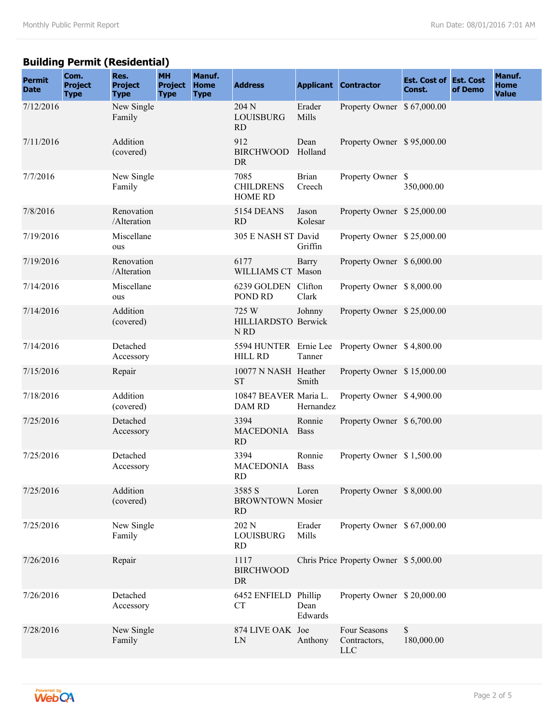## **Building Permit (Residential)**

| <b>Permit</b><br><b>Date</b> | Com.<br><b>Project</b><br><b>Type</b> | Res.<br><b>Project</b><br><b>Type</b> | <b>MH</b><br><b>Project</b><br><b>Type</b> | Manuf.<br><b>Home</b><br><b>Type</b> | <b>Address</b>                                 |                        | <b>Applicant Contractor</b>                     | <b>Est. Cost of Est. Cost</b><br>Const. | of Demo | Manuf.<br><b>Home</b><br><b>Value</b> |
|------------------------------|---------------------------------------|---------------------------------------|--------------------------------------------|--------------------------------------|------------------------------------------------|------------------------|-------------------------------------------------|-----------------------------------------|---------|---------------------------------------|
| 7/12/2016                    |                                       | New Single<br>Family                  |                                            |                                      | 204 N<br><b>LOUISBURG</b><br><b>RD</b>         | Erader<br>Mills        | Property Owner \$ 67,000.00                     |                                         |         |                                       |
| 7/11/2016                    |                                       | Addition<br>(covered)                 |                                            |                                      | 912<br><b>BIRCHWOOD</b><br>DR                  | Dean<br>Holland        | Property Owner \$95,000.00                      |                                         |         |                                       |
| 7/7/2016                     |                                       | New Single<br>Family                  |                                            |                                      | 7085<br><b>CHILDRENS</b><br><b>HOME RD</b>     | <b>Brian</b><br>Creech | Property Owner \$                               | 350,000.00                              |         |                                       |
| 7/8/2016                     |                                       | Renovation<br>/Alteration             |                                            |                                      | 5154 DEANS<br><b>RD</b>                        | Jason<br>Kolesar       | Property Owner \$25,000.00                      |                                         |         |                                       |
| 7/19/2016                    |                                       | Miscellane<br>ous                     |                                            |                                      | 305 E NASH ST David                            | Griffin                | Property Owner \$25,000.00                      |                                         |         |                                       |
| 7/19/2016                    |                                       | Renovation<br>/Alteration             |                                            |                                      | 6177<br>WILLIAMS CT Mason                      | Barry                  | Property Owner \$ 6,000.00                      |                                         |         |                                       |
| 7/14/2016                    |                                       | Miscellane<br>ous                     |                                            |                                      | 6239 GOLDEN Clifton<br>POND RD                 | Clark                  | Property Owner \$8,000.00                       |                                         |         |                                       |
| 7/14/2016                    |                                       | Addition<br>(covered)                 |                                            |                                      | 725 W<br>HILLIARDSTO Berwick<br>N RD           | Johnny                 | Property Owner \$25,000.00                      |                                         |         |                                       |
| 7/14/2016                    |                                       | Detached<br>Accessory                 |                                            |                                      | <b>HILL RD</b>                                 | Tanner                 | 5594 HUNTER Ernie Lee Property Owner \$4,800.00 |                                         |         |                                       |
| 7/15/2016                    |                                       | Repair                                |                                            |                                      | 10077 N NASH Heather<br><b>ST</b>              | Smith                  | Property Owner \$15,000.00                      |                                         |         |                                       |
| 7/18/2016                    |                                       | Addition<br>(covered)                 |                                            |                                      | 10847 BEAVER Maria L.<br><b>DAM RD</b>         | Hernandez              | Property Owner \$4,900.00                       |                                         |         |                                       |
| 7/25/2016                    |                                       | Detached<br>Accessory                 |                                            |                                      | 3394<br><b>MACEDONIA</b><br><b>RD</b>          | Ronnie<br><b>Bass</b>  | Property Owner \$ 6,700.00                      |                                         |         |                                       |
| 7/25/2016                    |                                       | Detached<br>Accessory                 |                                            |                                      | 3394<br><b>MACEDONIA</b><br><b>RD</b>          | Ronnie<br>Bass         | Property Owner \$1,500.00                       |                                         |         |                                       |
| 7/25/2016                    |                                       | Addition<br>(covered)                 |                                            |                                      | 3585 S<br><b>BROWNTOWN Mosier</b><br><b>RD</b> | Loren                  | Property Owner \$8,000.00                       |                                         |         |                                       |
| 7/25/2016                    |                                       | New Single<br>Family                  |                                            |                                      | 202 N<br><b>LOUISBURG</b><br><b>RD</b>         | Erader<br>Mills        | Property Owner \$ 67,000.00                     |                                         |         |                                       |
| 7/26/2016                    |                                       | Repair                                |                                            |                                      | 1117<br><b>BIRCHWOOD</b><br>DR                 |                        | Chris Price Property Owner \$5,000.00           |                                         |         |                                       |
| 7/26/2016                    |                                       | Detached<br>Accessory                 |                                            |                                      | 6452 ENFIELD Phillip<br><b>CT</b>              | Dean<br>Edwards        | Property Owner \$20,000.00                      |                                         |         |                                       |
| 7/28/2016                    |                                       | New Single<br>Family                  |                                            |                                      | 874 LIVE OAK Joe<br>LN                         | Anthony                | Four Seasons<br>Contractors,<br><b>LLC</b>      | \$<br>180,000.00                        |         |                                       |

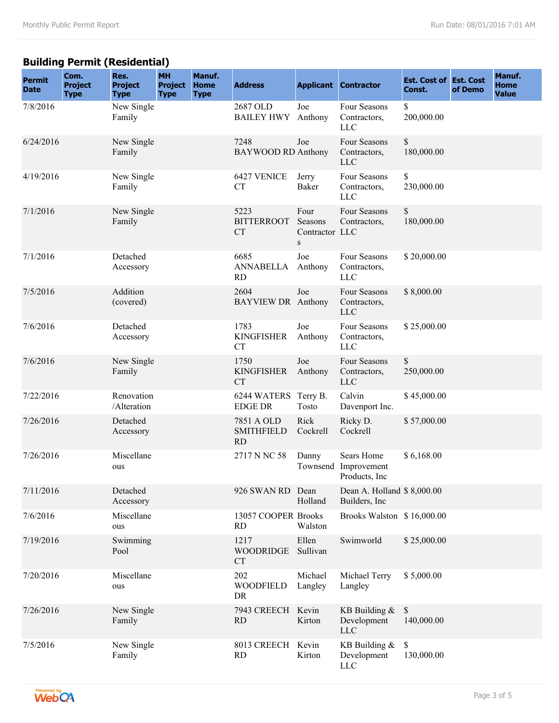## **Building Permit (Residential)**

| <b>Permit</b><br><b>Date</b> | Com.<br><b>Project</b><br><b>Type</b> | Res.<br><b>Project</b><br><b>Type</b> | <b>MH</b><br><b>Project</b><br><b>Type</b> | Manuf.<br><b>Home</b><br><b>Type</b> | <b>Address</b>                               |                                                  | <b>Applicant Contractor</b>                   | <b>Est. Cost of Est. Cost</b><br>Const. | of Demo | Manuf.<br>Home<br><b>Value</b> |
|------------------------------|---------------------------------------|---------------------------------------|--------------------------------------------|--------------------------------------|----------------------------------------------|--------------------------------------------------|-----------------------------------------------|-----------------------------------------|---------|--------------------------------|
| 7/8/2016                     |                                       | New Single<br>Family                  |                                            |                                      | 2687 OLD<br><b>BAILEY HWY</b> Anthony        | Joe                                              | Four Seasons<br>Contractors,<br><b>LLC</b>    | \$<br>200,000.00                        |         |                                |
| 6/24/2016                    |                                       | New Single<br>Family                  |                                            |                                      | 7248<br><b>BAYWOOD RD Anthony</b>            | Joe                                              | Four Seasons<br>Contractors,<br><b>LLC</b>    | \$<br>180,000.00                        |         |                                |
| 4/19/2016                    |                                       | New Single<br>Family                  |                                            |                                      | 6427 VENICE<br><b>CT</b>                     | Jerry<br>Baker                                   | Four Seasons<br>Contractors,<br><b>LLC</b>    | \$<br>230,000.00                        |         |                                |
| 7/1/2016                     |                                       | New Single<br>Family                  |                                            |                                      | 5223<br><b>BITTERROOT</b><br><b>CT</b>       | Four<br>Seasons<br>Contractor LLC<br>$\mathbf S$ | Four Seasons<br>Contractors,                  | \$<br>180,000.00                        |         |                                |
| 7/1/2016                     |                                       | Detached<br>Accessory                 |                                            |                                      | 6685<br><b>ANNABELLA</b><br><b>RD</b>        | Joe<br>Anthony                                   | Four Seasons<br>Contractors,<br><b>LLC</b>    | \$20,000.00                             |         |                                |
| 7/5/2016                     |                                       | Addition<br>(covered)                 |                                            |                                      | 2604<br><b>BAYVIEW DR</b> Anthony            | Joe                                              | Four Seasons<br>Contractors,<br><b>LLC</b>    | \$8,000.00                              |         |                                |
| 7/6/2016                     |                                       | Detached<br>Accessory                 |                                            |                                      | 1783<br><b>KINGFISHER</b><br><b>CT</b>       | Joe<br>Anthony                                   | Four Seasons<br>Contractors,<br><b>LLC</b>    | \$25,000.00                             |         |                                |
| 7/6/2016                     |                                       | New Single<br>Family                  |                                            |                                      | 1750<br><b>KINGFISHER</b><br><b>CT</b>       | Joe<br>Anthony                                   | Four Seasons<br>Contractors,<br><b>LLC</b>    | \$<br>250,000.00                        |         |                                |
| 7/22/2016                    |                                       | Renovation<br>/Alteration             |                                            |                                      | 6244 WATERS Terry B.<br><b>EDGE DR</b>       | Tosto                                            | Calvin<br>Davenport Inc.                      | \$45,000.00                             |         |                                |
| 7/26/2016                    |                                       | Detached<br>Accessory                 |                                            |                                      | 7851 A OLD<br><b>SMITHFIELD</b><br><b>RD</b> | Rick<br>Cockrell                                 | Ricky D.<br>Cockrell                          | \$57,000.00                             |         |                                |
| 7/26/2016                    |                                       | Miscellane<br>ous                     |                                            |                                      | 2717 N NC 58                                 | Danny<br>Townsend                                | Sears Home<br>Improvement<br>Products, Inc    | \$6,168.00                              |         |                                |
| 7/11/2016                    |                                       | Detached<br>Accessory                 |                                            |                                      | 926 SWAN RD Dean                             | Holland                                          | Dean A. Holland \$ 8,000.00<br>Builders, Inc. |                                         |         |                                |
| 7/6/2016                     |                                       | Miscellane<br>ous                     |                                            |                                      | 13057 COOPER Brooks<br><b>RD</b>             | Walston                                          | Brooks Walston \$16,000.00                    |                                         |         |                                |
| 7/19/2016                    |                                       | Swimming<br>Pool                      |                                            |                                      | 1217<br><b>WOODRIDGE</b><br><b>CT</b>        | Ellen<br>Sullivan                                | Swimworld                                     | \$25,000.00                             |         |                                |
| 7/20/2016                    |                                       | Miscellane<br>ous                     |                                            |                                      | 202<br><b>WOODFIELD</b><br>DR                | Michael<br>Langley                               | Michael Terry<br>Langley                      | \$5,000.00                              |         |                                |
| 7/26/2016                    |                                       | New Single<br>Family                  |                                            |                                      | 7943 CREECH<br><b>RD</b>                     | Kevin<br>Kirton                                  | KB Building $&$<br>Development<br><b>LLC</b>  | $\mathbb S$<br>140,000.00               |         |                                |
| 7/5/2016                     |                                       | New Single<br>Family                  |                                            |                                      | 8013 CREECH<br><b>RD</b>                     | Kevin<br>Kirton                                  | KB Building $&$<br>Development<br>LLC         | \$<br>130,000.00                        |         |                                |

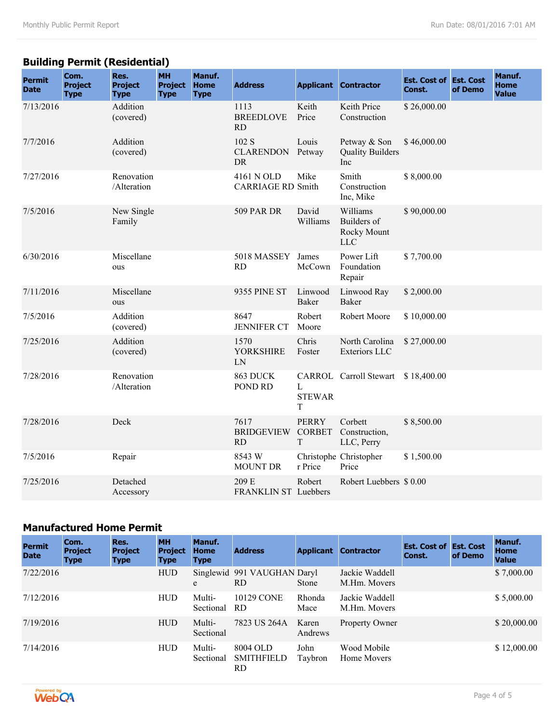## **Building Permit (Residential)**

| <b>Permit</b><br><b>Date</b> | Com.<br><b>Project</b><br><b>Type</b> | Res.<br><b>Project</b><br><b>Type</b> | <b>MH</b><br><b>Project</b><br><b>Type</b> | Manuf.<br><b>Home</b><br><b>Type</b> | <b>Address</b>                         |                                    | <b>Applicant Contractor</b>                          | <b>Est. Cost of Est. Cost</b><br>Const. | of Demo | Manuf.<br><b>Home</b><br><b>Value</b> |
|------------------------------|---------------------------------------|---------------------------------------|--------------------------------------------|--------------------------------------|----------------------------------------|------------------------------------|------------------------------------------------------|-----------------------------------------|---------|---------------------------------------|
| 7/13/2016                    |                                       | Addition<br>(covered)                 |                                            |                                      | 1113<br><b>BREEDLOVE</b><br><b>RD</b>  | Keith<br>Price                     | Keith Price<br>Construction                          | \$26,000.00                             |         |                                       |
| 7/7/2016                     |                                       | Addition<br>(covered)                 |                                            |                                      | 102 S<br><b>CLARENDON</b><br><b>DR</b> | Louis<br>Petway                    | Petway & Son<br><b>Quality Builders</b><br>Inc       | \$46,000.00                             |         |                                       |
| 7/27/2016                    |                                       | Renovation<br>/Alteration             |                                            |                                      | 4161 N OLD<br><b>CARRIAGE RD Smith</b> | Mike                               | Smith<br>Construction<br>Inc, Mike                   | \$8,000.00                              |         |                                       |
| 7/5/2016                     |                                       | New Single<br>Family                  |                                            |                                      | <b>509 PAR DR</b>                      | David<br>Williams                  | Williams<br>Builders of<br>Rocky Mount<br><b>LLC</b> | \$90,000.00                             |         |                                       |
| 6/30/2016                    |                                       | Miscellane<br>ous                     |                                            |                                      | 5018 MASSEY<br><b>RD</b>               | James<br>McCown                    | Power Lift<br>Foundation<br>Repair                   | \$7,700.00                              |         |                                       |
| 7/11/2016                    |                                       | Miscellane<br>ous                     |                                            |                                      | 9355 PINE ST                           | Linwood<br>Baker                   | Linwood Ray<br><b>Baker</b>                          | \$2,000.00                              |         |                                       |
| 7/5/2016                     |                                       | Addition<br>(covered)                 |                                            |                                      | 8647<br><b>JENNIFER CT</b>             | Robert<br>Moore                    | Robert Moore                                         | \$10,000.00                             |         |                                       |
| 7/25/2016                    |                                       | Addition<br>(covered)                 |                                            |                                      | 1570<br><b>YORKSHIRE</b><br>LN         | Chris<br>Foster                    | North Carolina<br><b>Exteriors LLC</b>               | \$27,000.00                             |         |                                       |
| 7/28/2016                    |                                       | Renovation<br>/Alteration             |                                            |                                      | 863 DUCK<br>POND RD                    | L<br><b>STEWAR</b><br>T            | CARROL Carroll Stewart                               | \$18,400.00                             |         |                                       |
| 7/28/2016                    |                                       | Deck                                  |                                            |                                      | 7617<br><b>BRIDGEVIEW</b><br>RD        | <b>PERRY</b><br><b>CORBET</b><br>T | Corbett<br>Construction,<br>LLC, Perry               | \$8,500.00                              |         |                                       |
| 7/5/2016                     |                                       | Repair                                |                                            |                                      | 8543 W<br><b>MOUNT DR</b>              | r Price                            | Christophe Christopher<br>Price                      | \$1,500.00                              |         |                                       |
| 7/25/2016                    |                                       | Detached<br>Accessory                 |                                            |                                      | 209 E<br><b>FRANKLIN ST Luebbers</b>   | Robert                             | Robert Luebbers \$0.00                               |                                         |         |                                       |

#### **Manufactured Home Permit**

| <b>Permit</b><br><b>Date</b> | Com.<br><b>Project</b><br><b>Type</b> | Res.<br><b>Project</b><br><b>Type</b> | <b>MH</b><br><b>Project</b><br><b>Type</b> | Manuf.<br><b>Home</b><br><b>Type</b> | <b>Address</b>                       |                  | <b>Applicant Contractor</b>    | <b>Est. Cost of Est. Cost</b><br>Const. | of Demo | Manuf.<br><b>Home</b><br><b>Value</b> |
|------------------------------|---------------------------------------|---------------------------------------|--------------------------------------------|--------------------------------------|--------------------------------------|------------------|--------------------------------|-----------------------------------------|---------|---------------------------------------|
| 7/22/2016                    |                                       |                                       | <b>HUD</b>                                 | e                                    | Singlewid 991 VAUGHAN Daryl<br>RD.   | Stone            | Jackie Waddell<br>M.Hm. Movers |                                         |         | \$7,000.00                            |
| 7/12/2016                    |                                       |                                       | <b>HUD</b>                                 | Multi-<br>Sectional                  | 10129 CONE<br>RD.                    | Rhonda<br>Mace   | Jackie Waddell<br>M.Hm. Movers |                                         |         | \$5,000.00                            |
| 7/19/2016                    |                                       |                                       | <b>HUD</b>                                 | Multi-<br>Sectional                  | 7823 US 264A                         | Karen<br>Andrews | Property Owner                 |                                         |         | \$20,000.00                           |
| 7/14/2016                    |                                       |                                       | <b>HUD</b>                                 | Multi-<br>Sectional                  | 8004 OLD<br><b>SMITHFIELD</b><br>RD. | John<br>Taybron  | Wood Mobile<br>Home Movers     |                                         |         | \$12,000.00                           |